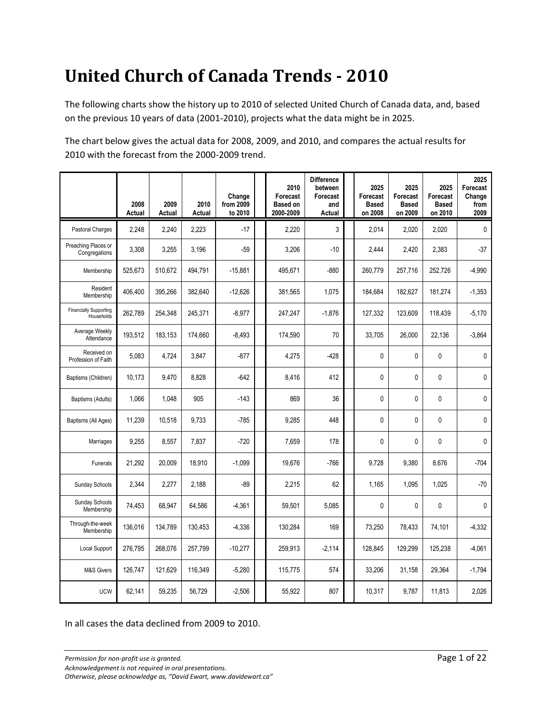### **United Church of Canada Trends - 2010**

The following charts show the history up to 2010 of selected United Church of Canada data, and, based on the previous 10 years of data (2001-2010), projects what the data might be in 2025.

The chart below gives the actual data for 2008, 2009, and 2010, and compares the actual results for 2010 with the forecast from the 2000-2009 trend.

|                                             | 2008<br>Actual | 2009<br>Actual | 2010<br>Actual | Change<br>from 2009<br>to 2010 | 2010<br>Forecast<br><b>Based on</b><br>2000-2009 | <b>Difference</b><br>between<br>Forecast<br>and<br>Actual | 2025<br>Forecast<br><b>Based</b><br>on 2008 | 2025<br>Forecast<br><b>Based</b><br>on 2009 | 2025<br>Forecast<br><b>Based</b><br>on 2010 | 2025<br>Forecast<br>Change<br>from<br>2009 |
|---------------------------------------------|----------------|----------------|----------------|--------------------------------|--------------------------------------------------|-----------------------------------------------------------|---------------------------------------------|---------------------------------------------|---------------------------------------------|--------------------------------------------|
| Pastoral Charges                            | 2,248          | 2,240          | 2,223          | $-17$                          | 2,220                                            | 3                                                         | 2,014                                       | 2,020                                       | 2,020                                       | 0                                          |
| Preaching Places or<br>Congregations        | 3,308          | 3,255          | 3.196          | $-59$                          | 3,206                                            | $-10$                                                     | 2,444                                       | 2,420                                       | 2,383                                       | $-37$                                      |
| Membership                                  | 525,673        | 510,672        | 494,791        | $-15,881$                      | 495,671                                          | $-880$                                                    | 260,779                                     | 257,716                                     | 252,726                                     | $-4,990$                                   |
| Resident<br>Membership                      | 406,400        | 395,266        | 382,640        | $-12,626$                      | 381,565                                          | 1,075                                                     | 184,684                                     | 182,627                                     | 181,274                                     | $-1,353$                                   |
| <b>Financially Supporting</b><br>Households | 262,789        | 254,348        | 245,371        | $-8,977$                       | 247,247                                          | $-1,876$                                                  | 127,332                                     | 123,609                                     | 118,439                                     | $-5,170$                                   |
| Average Weekly<br>Attendance                | 193.512        | 183,153        | 174.660        | $-8,493$                       | 174,590                                          | 70                                                        | 33,705                                      | 26,000                                      | 22,136                                      | $-3,864$                                   |
| Received on<br>Profession of Faith          | 5,083          | 4,724          | 3,847          | $-877$                         | 4,275                                            | $-428$                                                    | $\mathbf{0}$                                | 0                                           | 0                                           | 0                                          |
| Baptisms (Children)                         | 10,173         | 9,470          | 8,828          | $-642$                         | 8,416                                            | 412                                                       | $\mathbf{0}$                                | $\mathbf{0}$                                | 0                                           | 0                                          |
| Baptisms (Adults)                           | 1,066          | 1,048          | 905            | $-143$                         | 869                                              | 36                                                        | $\mathbf 0$                                 | $\mathbf 0$                                 | 0                                           | 0                                          |
| Baptisms (All Ages)                         | 11,239         | 10,518         | 9,733          | $-785$                         | 9,285                                            | 448                                                       | $\mathbf{0}$                                | $\mathbf{0}$                                | 0                                           | 0                                          |
| Marriages                                   | 9.255          | 8.557          | 7.837          | $-720$                         | 7.659                                            | 178                                                       | 0                                           | $\mathbf{0}$                                | $\mathbf{0}$                                | 0                                          |
| Funerals                                    | 21,292         | 20.009         | 18.910         | $-1.099$                       | 19.676                                           | $-766$                                                    | 9.728                                       | 9,380                                       | 8.676                                       | $-704$                                     |
| Sunday Schools                              | 2,344          | 2,277          | 2.188          | $-89$                          | 2,215                                            | 62                                                        | 1,165                                       | 1,095                                       | 1.025                                       | $-70$                                      |
| Sunday Schools<br>Membership                | 74,453         | 68,947         | 64,586         | $-4,361$                       | 59,501                                           | 5,085                                                     | $\mathbf{0}$                                | 0                                           | 0                                           | 0                                          |
| Through-the-week<br>Membership              | 136,016        | 134,789        | 130,453        | $-4,336$                       | 130,284                                          | 169                                                       | 73,250                                      | 78,433                                      | 74,101                                      | $-4,332$                                   |
| Local Support                               | 276,795        | 268,076        | 257,799        | $-10,277$                      | 259,913                                          | $-2,114$                                                  | 128,845                                     | 129,299                                     | 125,238                                     | $-4,061$                                   |
| <b>M&amp;S Givers</b>                       | 126,747        | 121,629        | 116,349        | $-5,280$                       | 115,775                                          | 574                                                       | 33,206                                      | 31,158                                      | 29,364                                      | $-1,794$                                   |
| <b>UCW</b>                                  | 62,141         | 59,235         | 56,729         | $-2,506$                       | 55,922                                           | 807                                                       | 10,317                                      | 9,787                                       | 11,813                                      | 2,026                                      |

In all cases the data declined from 2009 to 2010.

*Permission for non-profit use is granted.* Page 1 of 22

*Acknowledgement is not required in oral presentations.*

*Otherwise, please acknowledge as, "David Ewart, www.davidewart.ca"*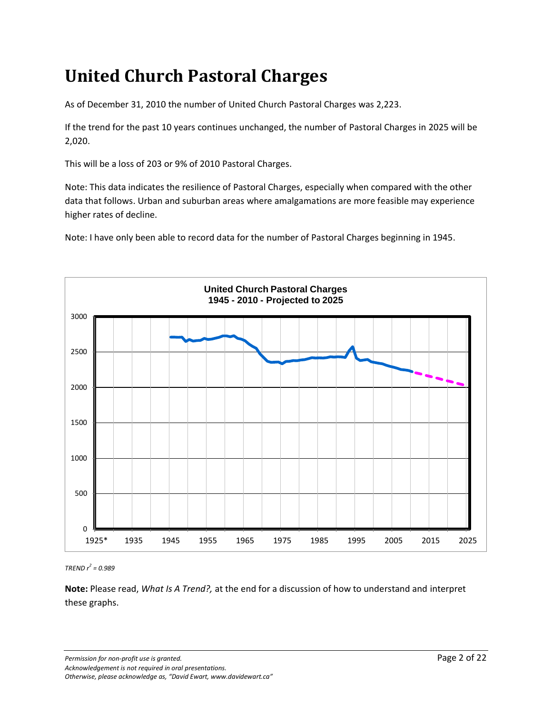## **United Church Pastoral Charges**

As of December 31, 2010 the number of United Church Pastoral Charges was 2,223.

If the trend for the past 10 years continues unchanged, the number of Pastoral Charges in 2025 will be 2,020.

This will be a loss of 203 or 9% of 2010 Pastoral Charges.

Note: This data indicates the resilience of Pastoral Charges, especially when compared with the other data that follows. Urban and suburban areas where amalgamations are more feasible may experience higher rates of decline.

Note: I have only been able to record data for the number of Pastoral Charges beginning in 1945.



*TREND r 2 = 0.989*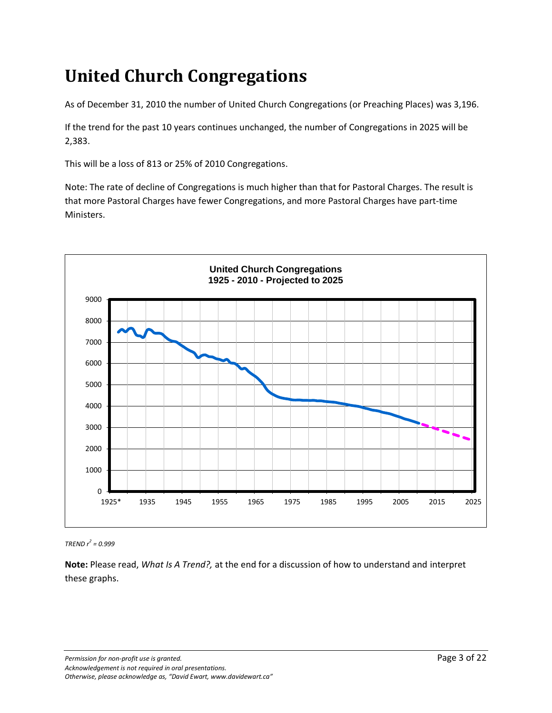# **United Church Congregations**

As of December 31, 2010 the number of United Church Congregations (or Preaching Places) was 3,196.

If the trend for the past 10 years continues unchanged, the number of Congregations in 2025 will be 2,383.

This will be a loss of 813 or 25% of 2010 Congregations.

Note: The rate of decline of Congregations is much higher than that for Pastoral Charges. The result is that more Pastoral Charges have fewer Congregations, and more Pastoral Charges have part-time Ministers.



*TREND r 2 = 0.999*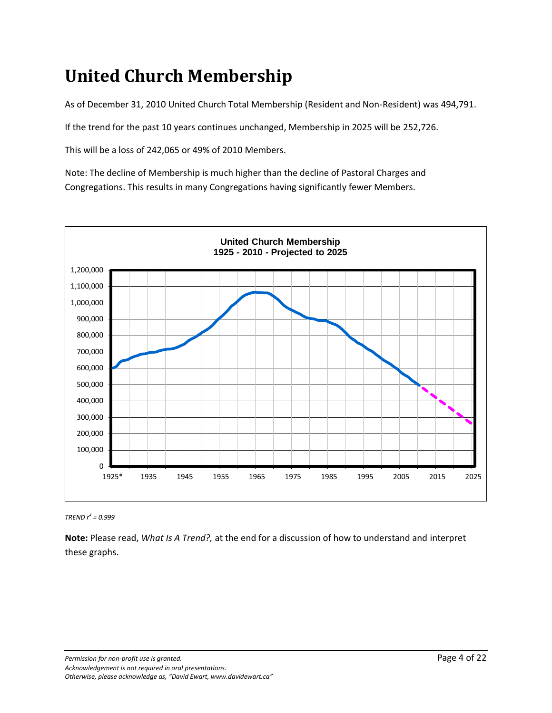## **United Church Membership**

As of December 31, 2010 United Church Total Membership (Resident and Non-Resident) was 494,791.

If the trend for the past 10 years continues unchanged, Membership in 2025 will be 252,726.

This will be a loss of 242,065 or 49% of 2010 Members.

Note: The decline of Membership is much higher than the decline of Pastoral Charges and Congregations. This results in many Congregations having significantly fewer Members.



*TREND r 2 = 0.999*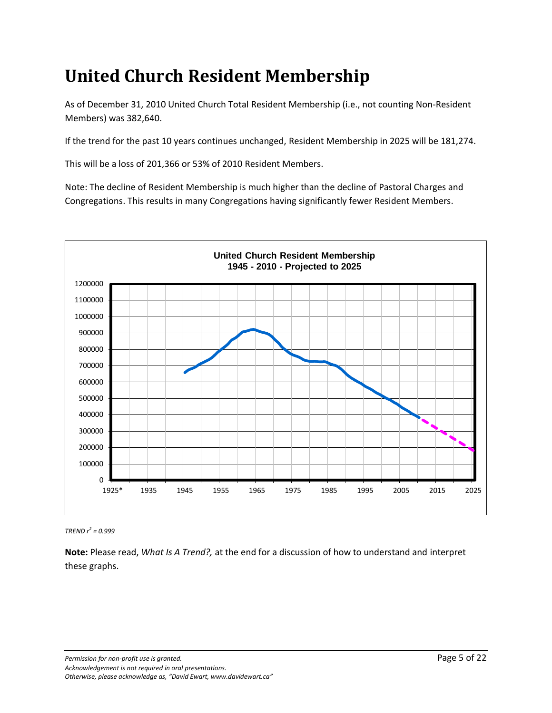## **United Church Resident Membership**

As of December 31, 2010 United Church Total Resident Membership (i.e., not counting Non-Resident Members) was 382,640.

If the trend for the past 10 years continues unchanged, Resident Membership in 2025 will be 181,274.

This will be a loss of 201,366 or 53% of 2010 Resident Members.

Note: The decline of Resident Membership is much higher than the decline of Pastoral Charges and Congregations. This results in many Congregations having significantly fewer Resident Members.



*TREND r 2 = 0.999*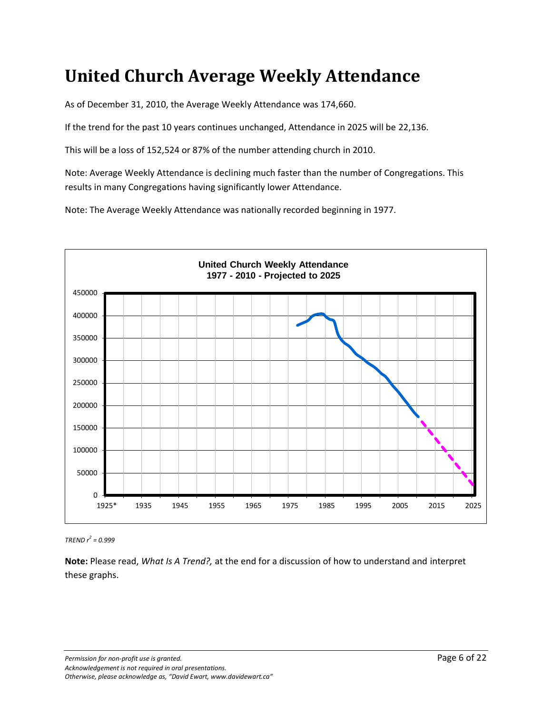#### **United Church Average Weekly Attendance**

As of December 31, 2010, the Average Weekly Attendance was 174,660.

If the trend for the past 10 years continues unchanged, Attendance in 2025 will be 22,136.

This will be a loss of 152,524 or 87% of the number attending church in 2010.

Note: Average Weekly Attendance is declining much faster than the number of Congregations. This results in many Congregations having significantly lower Attendance.

Note: The Average Weekly Attendance was nationally recorded beginning in 1977.



*TREND r 2 = 0.999*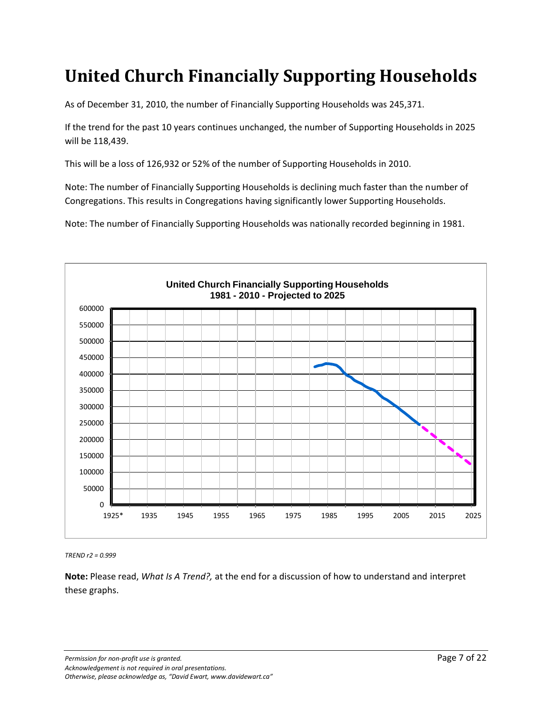## **United Church Financially Supporting Households**

As of December 31, 2010, the number of Financially Supporting Households was 245,371.

If the trend for the past 10 years continues unchanged, the number of Supporting Households in 2025 will be 118,439.

This will be a loss of 126,932 or 52% of the number of Supporting Households in 2010.

Note: The number of Financially Supporting Households is declining much faster than the number of Congregations. This results in Congregations having significantly lower Supporting Households.

Note: The number of Financially Supporting Households was nationally recorded beginning in 1981.



*TREND r2 = 0.999*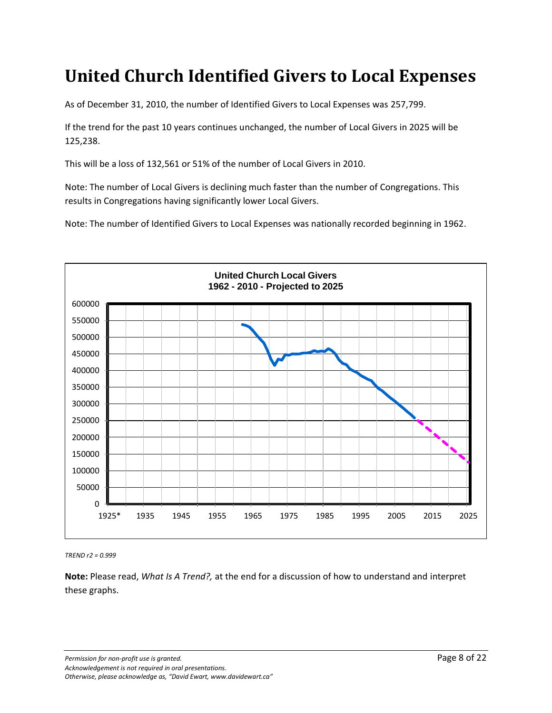#### **United Church Identified Givers to Local Expenses**

As of December 31, 2010, the number of Identified Givers to Local Expenses was 257,799.

If the trend for the past 10 years continues unchanged, the number of Local Givers in 2025 will be 125,238.

This will be a loss of 132,561 or 51% of the number of Local Givers in 2010.

Note: The number of Local Givers is declining much faster than the number of Congregations. This results in Congregations having significantly lower Local Givers.

Note: The number of Identified Givers to Local Expenses was nationally recorded beginning in 1962.



*TREND r2 = 0.999*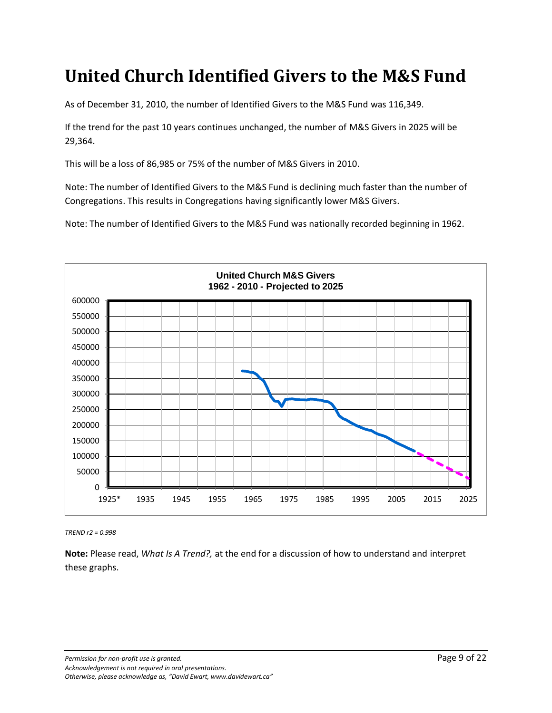#### **United Church Identified Givers to the M&S Fund**

As of December 31, 2010, the number of Identified Givers to the M&S Fund was 116,349.

If the trend for the past 10 years continues unchanged, the number of M&S Givers in 2025 will be 29,364.

This will be a loss of 86,985 or 75% of the number of M&S Givers in 2010.

Note: The number of Identified Givers to the M&S Fund is declining much faster than the number of Congregations. This results in Congregations having significantly lower M&S Givers.

Note: The number of Identified Givers to the M&S Fund was nationally recorded beginning in 1962.



*TREND r2 = 0.998*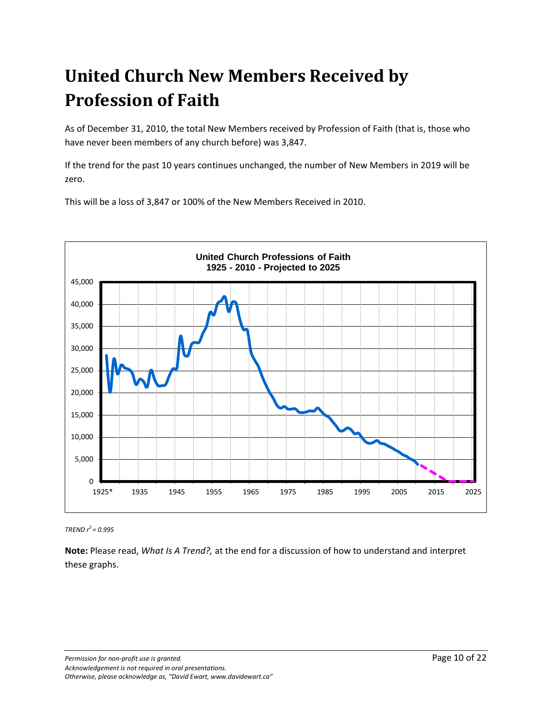# **United Church New Members Received by Profession of Faith**

As of December 31, 2010, the total New Members received by Profession of Faith (that is, those who have never been members of any church before) was 3,847.

If the trend for the past 10 years continues unchanged, the number of New Members in 2019 will be zero.

This will be a loss of 3,847 or 100% of the New Members Received in 2010.



*TREND r <sup>2</sup>= 0.995*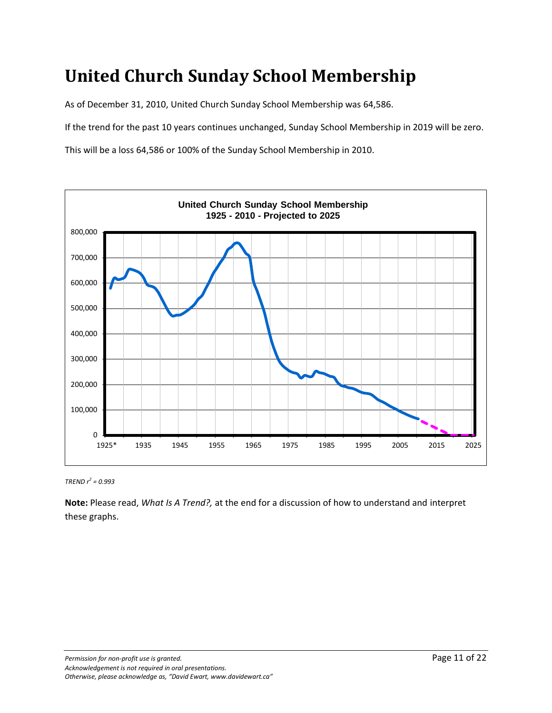## **United Church Sunday School Membership**

As of December 31, 2010, United Church Sunday School Membership was 64,586.

If the trend for the past 10 years continues unchanged, Sunday School Membership in 2019 will be zero.

This will be a loss 64,586 or 100% of the Sunday School Membership in 2010.



*TREND r 2 = 0.993*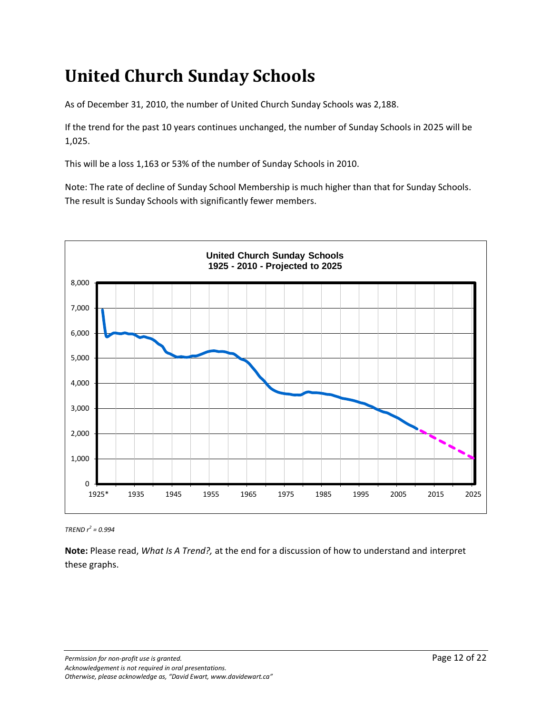## **United Church Sunday Schools**

As of December 31, 2010, the number of United Church Sunday Schools was 2,188.

If the trend for the past 10 years continues unchanged, the number of Sunday Schools in 2025 will be 1,025.

This will be a loss 1,163 or 53% of the number of Sunday Schools in 2010.

Note: The rate of decline of Sunday School Membership is much higher than that for Sunday Schools. The result is Sunday Schools with significantly fewer members.



*TREND r 2 = 0.994*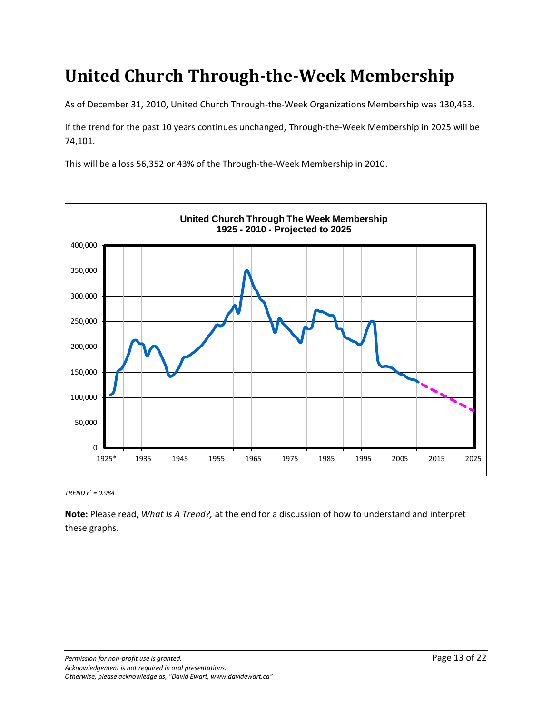#### **United Church Through-the-Week Membership**

As of December 31, 2010, United Church Through-the-Week Organizations Membership was 130,453.

If the trend for the past 10 years continues unchanged, Through-the-Week Membership in 2025 will be 74,101.

This will be a loss 56,352 or 43% of the Through-the-Week Membership in 2010.



*TREND r 2 = 0.984*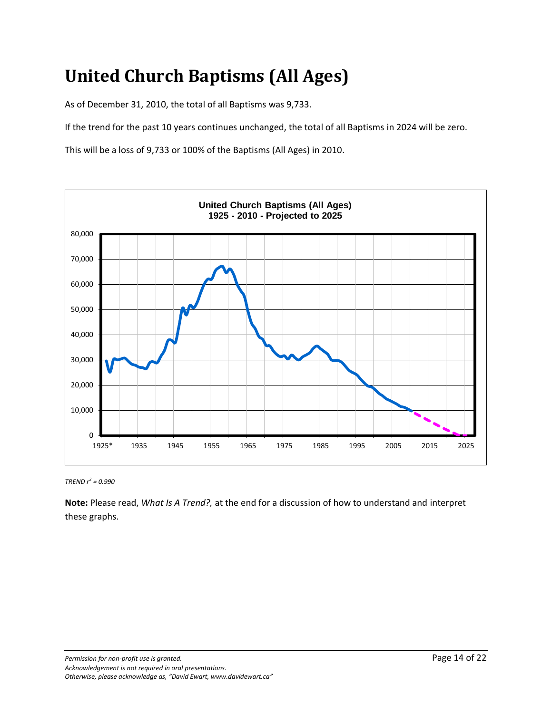# **United Church Baptisms (All Ages)**

As of December 31, 2010, the total of all Baptisms was 9,733.

If the trend for the past 10 years continues unchanged, the total of all Baptisms in 2024 will be zero.

This will be a loss of 9,733 or 100% of the Baptisms (All Ages) in 2010.



*TREND r 2 = 0.990*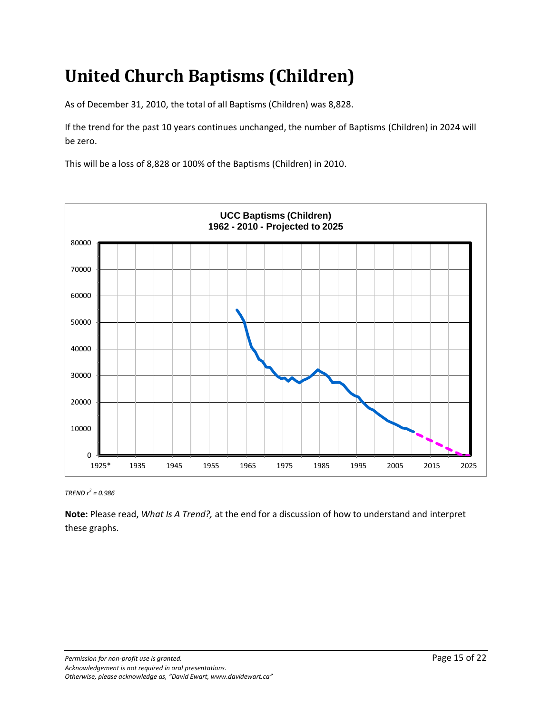# **United Church Baptisms (Children)**

As of December 31, 2010, the total of all Baptisms (Children) was 8,828.

If the trend for the past 10 years continues unchanged, the number of Baptisms (Children) in 2024 will be zero.

This will be a loss of 8,828 or 100% of the Baptisms (Children) in 2010.



*TREND r 2 = 0.986*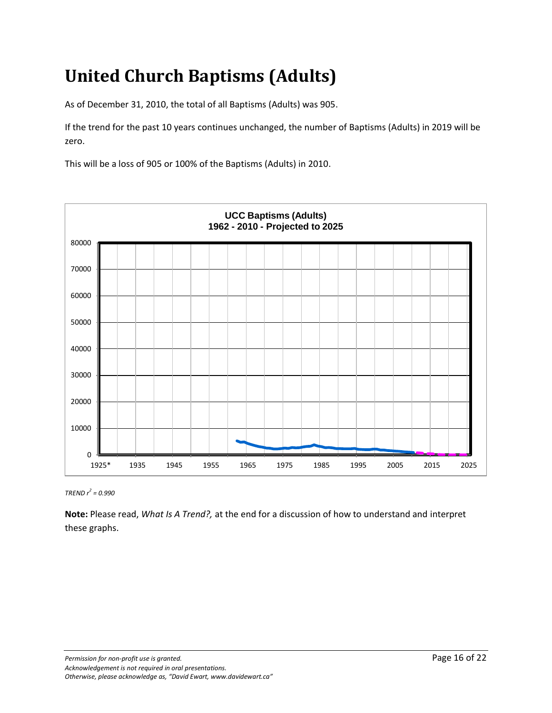# **United Church Baptisms (Adults)**

As of December 31, 2010, the total of all Baptisms (Adults) was 905.

If the trend for the past 10 years continues unchanged, the number of Baptisms (Adults) in 2019 will be zero.

This will be a loss of 905 or 100% of the Baptisms (Adults) in 2010.



*TREND r 2 = 0.990*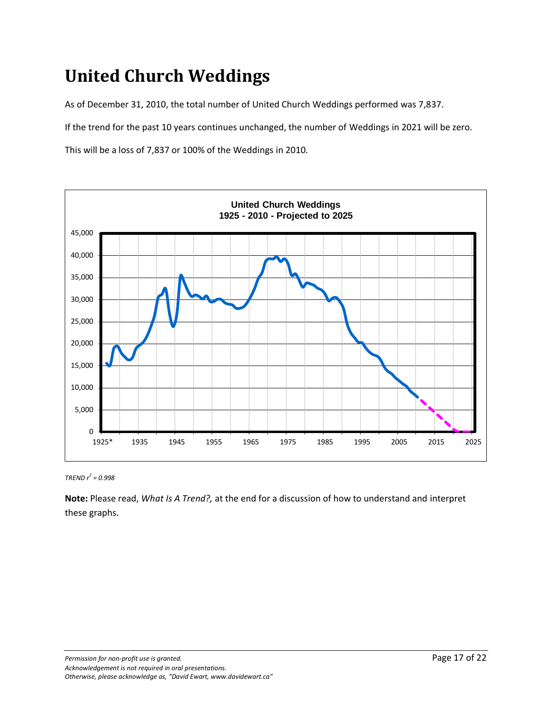## **United Church Weddings**

As of December 31, 2010, the total number of United Church Weddings performed was 7,837.

If the trend for the past 10 years continues unchanged, the number of Weddings in 2021 will be zero.

This will be a loss of 7,837 or 100% of the Weddings in 2010.



*TREND r 2 = 0.998*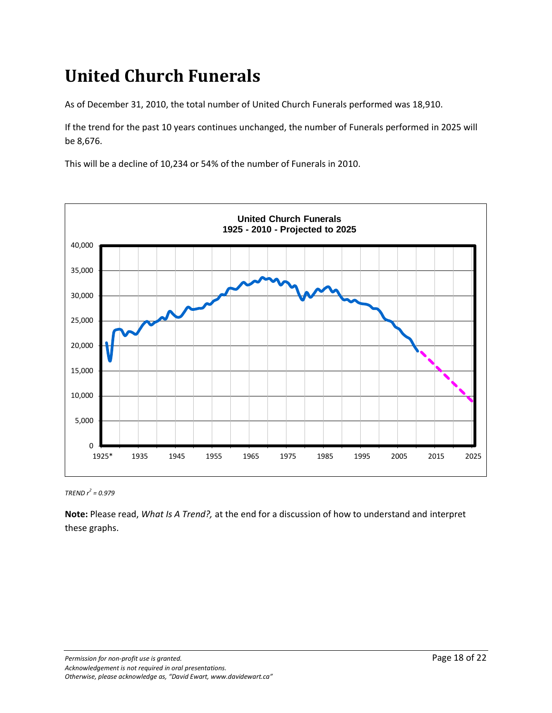## **United Church Funerals**

As of December 31, 2010, the total number of United Church Funerals performed was 18,910.

If the trend for the past 10 years continues unchanged, the number of Funerals performed in 2025 will be 8,676.

This will be a decline of 10,234 or 54% of the number of Funerals in 2010.



*TREND r 2 = 0.979*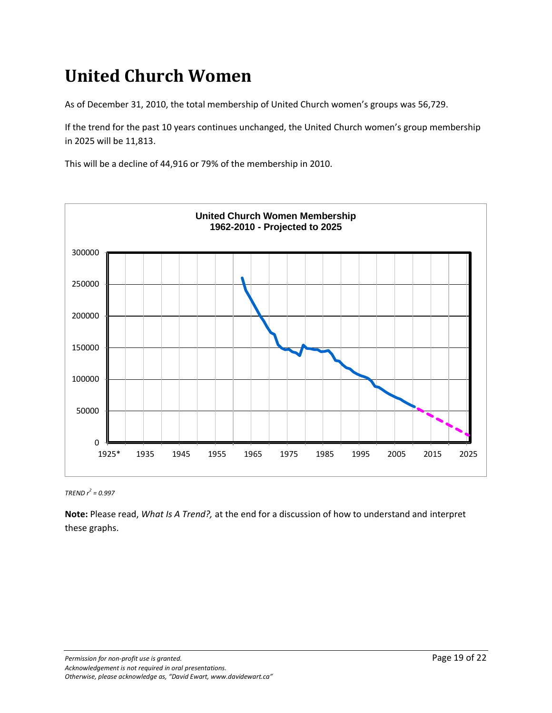## **United Church Women**

As of December 31, 2010, the total membership of United Church women's groups was 56,729.

If the trend for the past 10 years continues unchanged, the United Church women's group membership in 2025 will be 11,813.

This will be a decline of 44,916 or 79% of the membership in 2010.



*TREND r 2 = 0.997*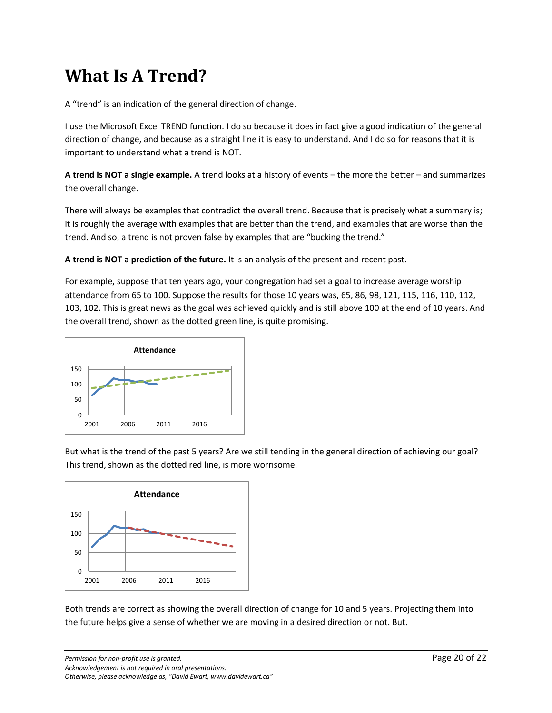#### **What Is A Trend?**

A "trend" is an indication of the general direction of change.

I use the Microsoft Excel TREND function. I do so because it does in fact give a good indication of the general direction of change, and because as a straight line it is easy to understand. And I do so for reasons that it is important to understand what a trend is NOT.

**A trend is NOT a single example.** A trend looks at a history of events – the more the better – and summarizes the overall change.

There will always be examples that contradict the overall trend. Because that is precisely what a summary is; it is roughly the average with examples that are better than the trend, and examples that are worse than the trend. And so, a trend is not proven false by examples that are "bucking the trend."

**A trend is NOT a prediction of the future.** It is an analysis of the present and recent past.

For example, suppose that ten years ago, your congregation had set a goal to increase average worship attendance from 65 to 100. Suppose the results for those 10 years was, 65, 86, 98, 121, 115, 116, 110, 112, 103, 102. This is great news as the goal was achieved quickly and is still above 100 at the end of 10 years. And the overall trend, shown as the dotted green line, is quite promising.



But what is the trend of the past 5 years? Are we still tending in the general direction of achieving our goal? This trend, shown as the dotted red line, is more worrisome.



Both trends are correct as showing the overall direction of change for 10 and 5 years. Projecting them into the future helps give a sense of whether we are moving in a desired direction or not. But.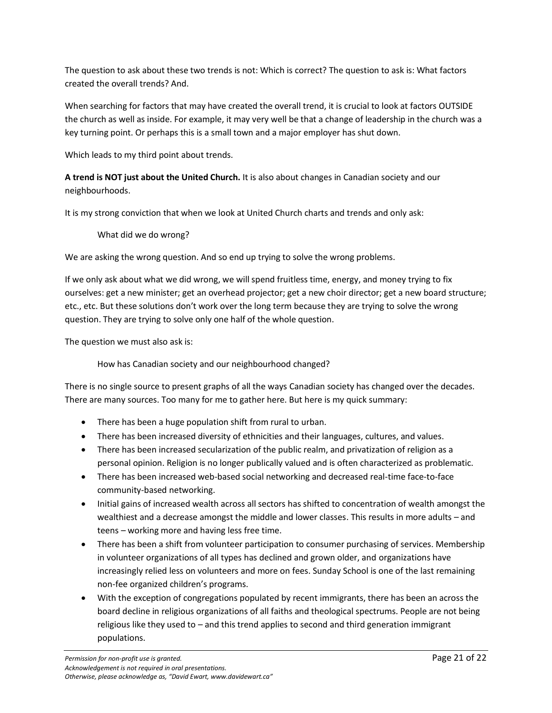The question to ask about these two trends is not: Which is correct? The question to ask is: What factors created the overall trends? And.

When searching for factors that may have created the overall trend, it is crucial to look at factors OUTSIDE the church as well as inside. For example, it may very well be that a change of leadership in the church was a key turning point. Or perhaps this is a small town and a major employer has shut down.

Which leads to my third point about trends.

**A trend is NOT just about the United Church.** It is also about changes in Canadian society and our neighbourhoods.

It is my strong conviction that when we look at United Church charts and trends and only ask:

What did we do wrong?

We are asking the wrong question. And so end up trying to solve the wrong problems.

If we only ask about what we did wrong, we will spend fruitless time, energy, and money trying to fix ourselves: get a new minister; get an overhead projector; get a new choir director; get a new board structure; etc., etc. But these solutions don't work over the long term because they are trying to solve the wrong question. They are trying to solve only one half of the whole question.

The question we must also ask is:

How has Canadian society and our neighbourhood changed?

There is no single source to present graphs of all the ways Canadian society has changed over the decades. There are many sources. Too many for me to gather here. But here is my quick summary:

- There has been a huge population shift from rural to urban.
- There has been increased diversity of ethnicities and their languages, cultures, and values.
- There has been increased secularization of the public realm, and privatization of religion as a personal opinion. Religion is no longer publically valued and is often characterized as problematic.
- There has been increased web-based social networking and decreased real-time face-to-face community-based networking.
- Initial gains of increased wealth across all sectors has shifted to concentration of wealth amongst the wealthiest and a decrease amongst the middle and lower classes. This results in more adults – and teens – working more and having less free time.
- There has been a shift from volunteer participation to consumer purchasing of services. Membership in volunteer organizations of all types has declined and grown older, and organizations have increasingly relied less on volunteers and more on fees. Sunday School is one of the last remaining non-fee organized children's programs.
- With the exception of congregations populated by recent immigrants, there has been an across the board decline in religious organizations of all faiths and theological spectrums. People are not being religious like they used to – and this trend applies to second and third generation immigrant populations.